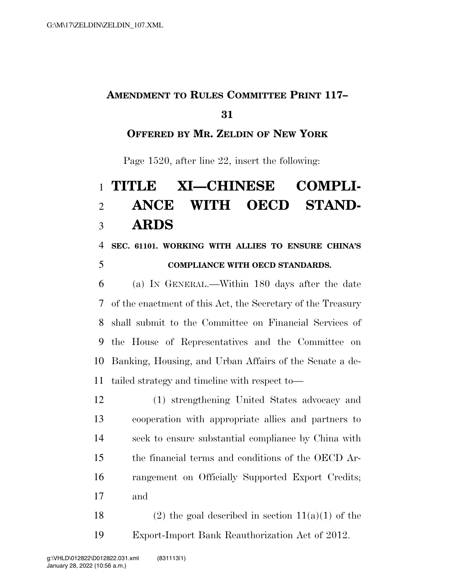## **AMENDMENT TO RULES COMMITTEE PRINT 117–**

#### 

#### **OFFERED BY MR. ZELDIN OF NEW YORK**

Page 1520, after line 22, insert the following:

# **TITLE XI—CHINESE COMPLI- ANCE WITH OECD STAND-ARDS**

### **SEC. 61101. WORKING WITH ALLIES TO ENSURE CHINA'S COMPLIANCE WITH OECD STANDARDS.**

 (a) IN GENERAL.—Within 180 days after the date of the enactment of this Act, the Secretary of the Treasury shall submit to the Committee on Financial Services of the House of Representatives and the Committee on Banking, Housing, and Urban Affairs of the Senate a de-tailed strategy and timeline with respect to—

 (1) strengthening United States advocacy and cooperation with appropriate allies and partners to seek to ensure substantial compliance by China with the financial terms and conditions of the OECD Ar- rangement on Officially Supported Export Credits; and

18 (2) the goal described in section  $11(a)(1)$  of the Export-Import Bank Reauthorization Act of 2012.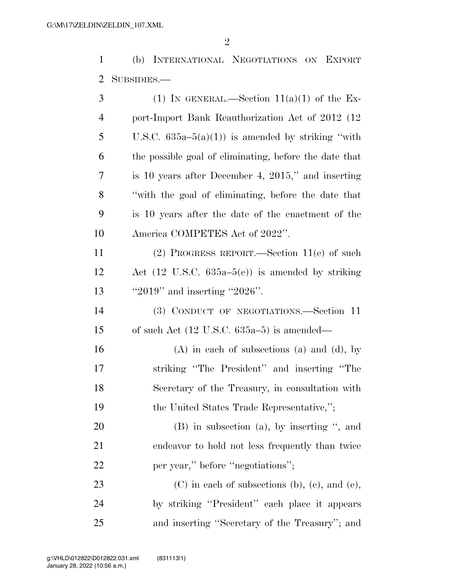(b) INTERNATIONAL NEGOTIATIONS ON EXPORT SUBSIDIES.—

| 3  | (1) IN GENERAL.—Section $11(a)(1)$ of the Ex-               |
|----|-------------------------------------------------------------|
| 4  | port-Import Bank Reauthorization Act of 2012 (12)           |
| 5  | U.S.C. $635a-5(a)(1)$ is amended by striking "with          |
| 6  | the possible goal of eliminating, before the date that      |
| 7  | is 10 years after December 4, 2015," and inserting          |
| 8  | "with the goal of eliminating, before the date that         |
| 9  | is 10 years after the date of the enactment of the          |
| 10 | America COMPETES Act of 2022".                              |
| 11 | $(2)$ PROGRESS REPORT.—Section 11(e) of such                |
| 12 | Act $(12 \text{ U.S.C. } 635a-5(e))$ is amended by striking |
| 13 | " $2019$ " and inserting " $2026$ ".                        |
| 14 | (3) CONDUCT OF NEGOTIATIONS.-Section 11                     |
| 15 | of such Act $(12 \text{ U.S.C. } 635a-5)$ is amended—       |
| 16 | $(A)$ in each of subsections $(a)$ and $(d)$ , by           |
| 17 | striking "The President" and inserting "The                 |
| 18 | Secretary of the Treasury, in consultation with             |
| 19 | the United States Trade Representative,";                   |
| 20 | $(B)$ in subsection $(a)$ , by inserting ", and             |
| 21 | endeavor to hold not less frequently than twice             |
| 22 | per year," before "negotiations";                           |
| 23 | $(C)$ in each of subsections (b), (c), and (e),             |
| 24 | by striking "President" each place it appears               |
| 25 | and inserting "Secretary of the Treasury"; and              |